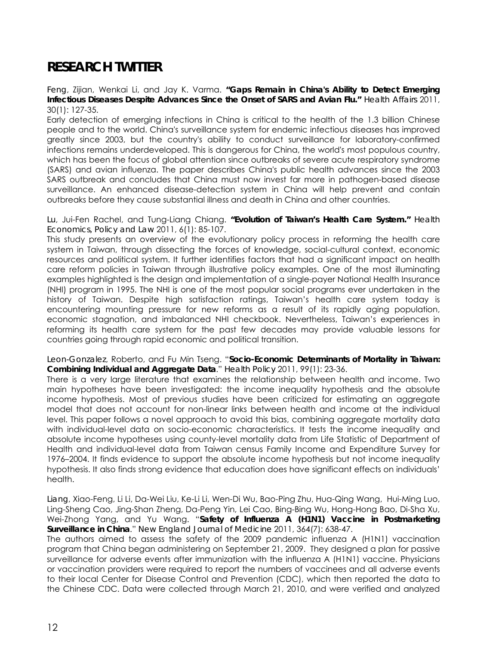## **RESEARCH TWITTER**

*Feng*, Zijian, Wenkai Li, and Jay K. Varma. **"Gaps Remain in China's Ability to Detect Emerging Infectious Diseases Despite Advances Since the Onset of SARS and Avian Flu."** *Health Affairs* 2011, 30(1): 127-35.

Early detection of emerging infections in China is critical to the health of the 1.3 billion Chinese people and to the world. China's surveillance system for endemic infectious diseases has improved greatly since 2003, but the country's ability to conduct surveillance for laboratory-confirmed infections remains underdeveloped. This is dangerous for China, the world's most populous country, which has been the focus of global attention since outbreaks of severe acute respiratory syndrome (SARS) and avian influenza. The paper describes China's public health advances since the 2003 SARS outbreak and concludes that China must now invest far more in pathogen-based disease surveillance. An enhanced disease-detection system in China will help prevent and contain outbreaks before they cause substantial illness and death in China and other countries.

*Lu*, Jui-Fen Rachel, and Tung-Liang Chiang. **"Evolution of Taiwan's Health Care System."** *Health Economics, Policy and Law* 2011, 6(1): 85-107.

This study presents an overview of the evolutionary policy process in reforming the health care system in Taiwan, through dissecting the forces of knowledge, social-cultural context, economic resources and political system. It further identifies factors that had a significant impact on health care reform policies in Taiwan through illustrative policy examples. One of the most illuminating examples highlighted is the design and implementation of a single-payer National Health Insurance (NHI) program in 1995. The NHI is one of the most popular social programs ever undertaken in the history of Taiwan. Despite high satisfaction ratings, Taiwan's health care system today is encountering mounting pressure for new reforms as a result of its rapidly aging population, economic stagnation, and imbalanced NHI checkbook. Nevertheless, Taiwan's experiences in reforming its health care system for the past few decades may provide valuable lessons for countries going through rapid economic and political transition.

## *Leon-Gonzalez*, Roberto, and Fu Min Tseng. "**Socio-Economic Determinants of Mortality in Taiwan: Combining Individual and Aggregate Data**." *Health Policy* 2011, 99(1): 23-36.

There is a very large literature that examines the relationship between health and income. Two main hypotheses have been investigated: the income inequality hypothesis and the absolute income hypothesis. Most of previous studies have been criticized for estimating an aggregate model that does not account for non-linear links between health and income at the individual level. This paper follows a novel approach to avoid this bias, combining aggregate mortality data with individual-level data on socio-economic characteristics. It tests the income inequality and absolute income hypotheses using county-level mortality data from Life Statistic of Department of Health and individual-level data from Taiwan census Family Income and Expenditure Survey for 1976–2004. It finds evidence to support the absolute income hypothesis but not income inequality hypothesis. It also finds strong evidence that education does have significant effects on individuals' health.

*Liang*, Xiao-Feng, Li Li, Da-Wei Liu, Ke-Li Li, Wen-Di Wu, Bao-Ping Zhu, Hua-Qing Wang, Hui-Ming Luo, Ling-Sheng Cao, Jing-Shan Zheng, Da-Peng Yin, Lei Cao, Bing-Bing Wu, Hong-Hong Bao, Di-Sha Xu, Wei-Zhong Yang, and Yu Wang. "**Safety of Influenza A (H1N1) Vaccine in Postmarketing Surveillance in China**." *New England Journal of Medicine* 2011, 364(7): 638-47.

The authors aimed to assess the safety of the 2009 pandemic influenza A (H1N1) vaccination program that China began administering on September 21, 2009. They designed a plan for passive surveillance for adverse events after immunization with the influenza A (H1N1) vaccine. Physicians or vaccination providers were required to report the numbers of vaccinees and all adverse events to their local Center for Disease Control and Prevention (CDC), which then reported the data to the Chinese CDC. Data were collected through March 21, 2010, and were verified and analyzed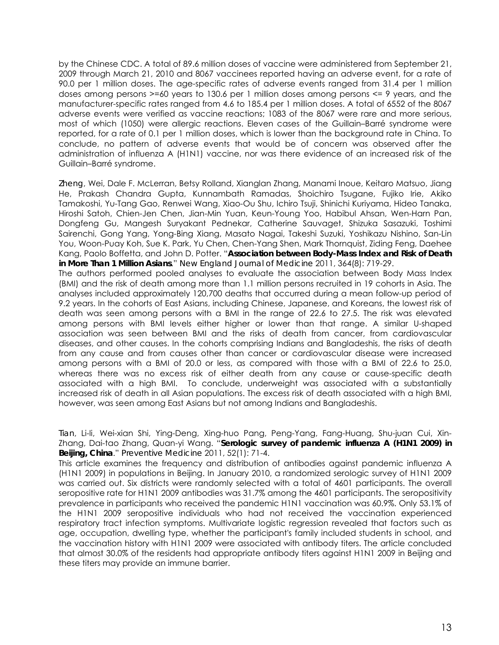by the Chinese CDC. A total of 89.6 million doses of vaccine were administered from September 21, 2009 through March 21, 2010 and 8067 vaccinees reported having an adverse event, for a rate of 90.0 per 1 million doses. The age-specific rates of adverse events ranged from 31.4 per 1 million doses among persons >=60 years to 130.6 per 1 million doses among persons <= 9 years, and the manufacturer-specific rates ranged from 4.6 to 185.4 per 1 million doses. A total of 6552 of the 8067 adverse events were verified as vaccine reactions; 1083 of the 8067 were rare and more serious, most of which (1050) were allergic reactions. Eleven cases of the Guillain–Barré syndrome were reported, for a rate of 0.1 per 1 million doses, which is lower than the background rate in China. To conclude, no pattern of adverse events that would be of concern was observed after the administration of influenza A (H1N1) vaccine, nor was there evidence of an increased risk of the Guillain–Barré syndrome.

*Zheng*, Wei, Dale F. McLerran, Betsy Rolland, Xianglan Zhang, Manami Inoue, Keitaro Matsuo, Jiang He, Prakash Chandra Gupta, Kunnambath Ramadas, Shoichiro Tsugane, Fujiko Irie, Akiko Tamakoshi, Yu-Tang Gao, Renwei Wang, Xiao-Ou Shu, Ichiro Tsuji, Shinichi Kuriyama, Hideo Tanaka, Hiroshi Satoh, Chien-Jen Chen, Jian-Min Yuan, Keun-Young Yoo, Habibul Ahsan, Wen-Harn Pan, Dongfeng Gu, Mangesh Suryakant Pednekar, Catherine Sauvaget, Shizuka Sasazuki, Toshimi Sairenchi, Gong Yang, Yong-Bing Xiang, Masato Nagai, Takeshi Suzuki, Yoshikazu Nishino, San-Lin You, Woon-Puay Koh, Sue K. Park, Yu Chen, Chen-Yang Shen, Mark Thornquist, Ziding Feng, Daehee Kang, Paolo Boffetta, and John D. Potter. "**Association between Body-Mass Index and Risk of Death in More Than 1 Million Asians**." *New England Journal of Medicine* 2011, 364(8): 719-29.

The authors performed pooled analyses to evaluate the association between Body Mass Index (BMI) and the risk of death among more than 1.1 million persons recruited in 19 cohorts in Asia. The analyses included approximately 120,700 deaths that occurred during a mean follow-up period of 9.2 years. In the cohorts of East Asians, including Chinese, Japanese, and Koreans, the lowest risk of death was seen among persons with a BMI in the range of 22.6 to 27.5. The risk was elevated among persons with BMI levels either higher or lower than that range. A similar U-shaped association was seen between BMI and the risks of death from cancer, from cardiovascular diseases, and other causes. In the cohorts comprising Indians and Bangladeshis, the risks of death from any cause and from causes other than cancer or cardiovascular disease were increased among persons with a BMI of 20.0 or less, as compared with those with a BMI of 22.6 to 25.0, whereas there was no excess risk of either death from any cause or cause-specific death associated with a high BMI. To conclude, underweight was associated with a substantially increased risk of death in all Asian populations. The excess risk of death associated with a high BMI, however, was seen among East Asians but not among Indians and Bangladeshis.

*Tian*, Li-li, Wei-xian Shi, Ying-Deng, Xing-huo Pang, Peng-Yang, Fang-Huang, Shu-juan Cui, Xin-Zhang, Dai-tao Zhang, Quan-yi Wang. "**Serologic survey of pandemic influenza A (H1N1 2009) in Beijing, China**." *Preventive Medicine* 2011, 52(1): 71-4.

This article examines the frequency and distribution of antibodies against pandemic influenza A (H1N1 2009) in populations in Beijing. In January 2010, a randomized serologic survey of H1N1 2009 was carried out. Six districts were randomly selected with a total of 4601 participants. The overall seropositive rate for H1N1 2009 antibodies was 31.7% among the 4601 participants. The seropositivity prevalence in participants who received the pandemic H1N1 vaccination was 60.9%. Only 53.1% of the H1N1 2009 seropositive individuals who had not received the vaccination experienced respiratory tract infection symptoms. Multivariate logistic regression revealed that factors such as age, occupation, dwelling type, whether the participant's family included students in school, and the vaccination history with H1N1 2009 were associated with antibody titers. The article concluded that almost 30.0% of the residents had appropriate antibody titers against H1N1 2009 in Beijing and these titers may provide an immune barrier.